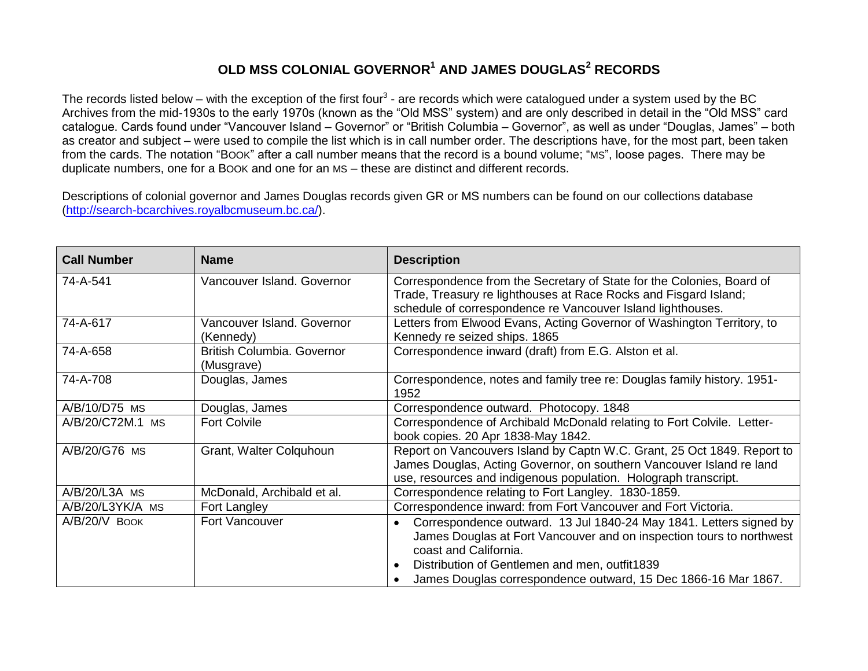## **OLD MSS COLONIAL GOVERNOR<sup>1</sup> AND JAMES DOUGLAS<sup>2</sup> RECORDS**

The records listed below – with the exception of the first four<sup>3</sup> - are records which were catalogued under a system used by the BC Archives from the mid-1930s to the early 1970s (known as the "Old MSS" system) and are only described in detail in the "Old MSS" card catalogue. Cards found under "Vancouver Island – Governor" or "British Columbia – Governor", as well as under "Douglas, James" – both as creator and subject – were used to compile the list which is in call number order. The descriptions have, for the most part, been taken from the cards. The notation "BOOK" after a call number means that the record is a bound volume; "MS", loose pages. There may be duplicate numbers, one for a BOOK and one for an MS – these are distinct and different records.

Descriptions of colonial governor and James Douglas records given GR or MS numbers can be found on our collections database [\(http://search-bcarchives.royalbcmuseum.bc.ca/\)](http://search-bcarchives.royalbcmuseum.bc.ca/).

| <b>Call Number</b> | <b>Name</b>                                     | <b>Description</b>                                                                                                                                                                                                                                                                     |
|--------------------|-------------------------------------------------|----------------------------------------------------------------------------------------------------------------------------------------------------------------------------------------------------------------------------------------------------------------------------------------|
| 74-A-541           | Vancouver Island. Governor                      | Correspondence from the Secretary of State for the Colonies, Board of<br>Trade, Treasury re lighthouses at Race Rocks and Fisgard Island;<br>schedule of correspondence re Vancouver Island lighthouses.                                                                               |
| 74-A-617           | Vancouver Island. Governor<br>(Kennedy)         | Letters from Elwood Evans, Acting Governor of Washington Territory, to<br>Kennedy re seized ships. 1865                                                                                                                                                                                |
| 74-A-658           | <b>British Columbia. Governor</b><br>(Musgrave) | Correspondence inward (draft) from E.G. Alston et al.                                                                                                                                                                                                                                  |
| 74-A-708           | Douglas, James                                  | Correspondence, notes and family tree re: Douglas family history. 1951-<br>1952                                                                                                                                                                                                        |
| A/B/10/D75 MS      | Douglas, James                                  | Correspondence outward. Photocopy. 1848                                                                                                                                                                                                                                                |
| A/B/20/C72M.1 MS   | <b>Fort Colvile</b>                             | Correspondence of Archibald McDonald relating to Fort Colvile. Letter-<br>book copies. 20 Apr 1838-May 1842.                                                                                                                                                                           |
| A/B/20/G76 MS      | Grant, Walter Colquhoun                         | Report on Vancouvers Island by Captn W.C. Grant, 25 Oct 1849. Report to<br>James Douglas, Acting Governor, on southern Vancouver Island re land<br>use, resources and indigenous population. Holograph transcript.                                                                     |
| $A/B/20/L3A$ MS    | McDonald, Archibald et al.                      | Correspondence relating to Fort Langley. 1830-1859.                                                                                                                                                                                                                                    |
| A/B/20/L3YK/A MS   | Fort Langley                                    | Correspondence inward: from Fort Vancouver and Fort Victoria.                                                                                                                                                                                                                          |
| $A/B/20/V$ Book    | <b>Fort Vancouver</b>                           | Correspondence outward. 13 Jul 1840-24 May 1841. Letters signed by<br>James Douglas at Fort Vancouver and on inspection tours to northwest<br>coast and California.<br>Distribution of Gentlemen and men, outfit1839<br>James Douglas correspondence outward, 15 Dec 1866-16 Mar 1867. |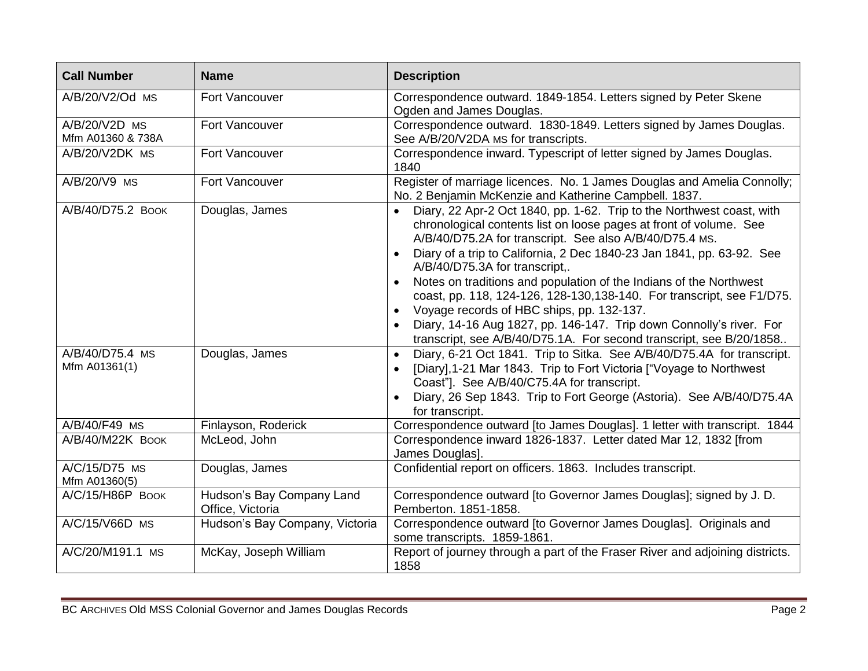| <b>Call Number</b>                 | <b>Name</b>                                   | <b>Description</b>                                                                                                                                                                                                                                                                                                                                                                                                                                                                                                                                                                                                                                           |
|------------------------------------|-----------------------------------------------|--------------------------------------------------------------------------------------------------------------------------------------------------------------------------------------------------------------------------------------------------------------------------------------------------------------------------------------------------------------------------------------------------------------------------------------------------------------------------------------------------------------------------------------------------------------------------------------------------------------------------------------------------------------|
| A/B/20/V2/Od MS                    | Fort Vancouver                                | Correspondence outward. 1849-1854. Letters signed by Peter Skene<br>Ogden and James Douglas.                                                                                                                                                                                                                                                                                                                                                                                                                                                                                                                                                                 |
| A/B/20/V2D MS<br>Mfm A01360 & 738A | Fort Vancouver                                | Correspondence outward. 1830-1849. Letters signed by James Douglas.<br>See A/B/20/V2DA MS for transcripts.                                                                                                                                                                                                                                                                                                                                                                                                                                                                                                                                                   |
| A/B/20/V2DK MS                     | Fort Vancouver                                | Correspondence inward. Typescript of letter signed by James Douglas.<br>1840                                                                                                                                                                                                                                                                                                                                                                                                                                                                                                                                                                                 |
| A/B/20/V9 MS                       | <b>Fort Vancouver</b>                         | Register of marriage licences. No. 1 James Douglas and Amelia Connolly;<br>No. 2 Benjamin McKenzie and Katherine Campbell. 1837.                                                                                                                                                                                                                                                                                                                                                                                                                                                                                                                             |
| A/B/40/D75.2 BOOK                  | Douglas, James                                | Diary, 22 Apr-2 Oct 1840, pp. 1-62. Trip to the Northwest coast, with<br>chronological contents list on loose pages at front of volume. See<br>A/B/40/D75.2A for transcript. See also A/B/40/D75.4 MS.<br>Diary of a trip to California, 2 Dec 1840-23 Jan 1841, pp. 63-92. See<br>A/B/40/D75.3A for transcript,.<br>Notes on traditions and population of the Indians of the Northwest<br>coast, pp. 118, 124-126, 128-130, 138-140. For transcript, see F1/D75.<br>Voyage records of HBC ships, pp. 132-137.<br>Diary, 14-16 Aug 1827, pp. 146-147. Trip down Connolly's river. For<br>transcript, see A/B/40/D75.1A. For second transcript, see B/20/1858 |
| A/B/40/D75.4 MS<br>Mfm A01361(1)   | Douglas, James                                | Diary, 6-21 Oct 1841. Trip to Sitka. See A/B/40/D75.4A for transcript.<br>$\bullet$<br>[Diary], 1-21 Mar 1843. Trip to Fort Victoria ["Voyage to Northwest<br>Coast"]. See A/B/40/C75.4A for transcript.<br>Diary, 26 Sep 1843. Trip to Fort George (Astoria). See A/B/40/D75.4A<br>for transcript.                                                                                                                                                                                                                                                                                                                                                          |
| A/B/40/F49 MS                      | Finlayson, Roderick                           | Correspondence outward [to James Douglas]. 1 letter with transcript. 1844                                                                                                                                                                                                                                                                                                                                                                                                                                                                                                                                                                                    |
| A/B/40/M22K BOOK                   | McLeod, John                                  | Correspondence inward 1826-1837. Letter dated Mar 12, 1832 [from<br>James Douglas].                                                                                                                                                                                                                                                                                                                                                                                                                                                                                                                                                                          |
| A/C/15/D75 MS<br>Mfm A01360(5)     | Douglas, James                                | Confidential report on officers. 1863. Includes transcript.                                                                                                                                                                                                                                                                                                                                                                                                                                                                                                                                                                                                  |
| A/C/15/H86P BOOK                   | Hudson's Bay Company Land<br>Office, Victoria | Correspondence outward [to Governor James Douglas]; signed by J. D.<br>Pemberton. 1851-1858.                                                                                                                                                                                                                                                                                                                                                                                                                                                                                                                                                                 |
| A/C/15/V66D MS                     | Hudson's Bay Company, Victoria                | Correspondence outward [to Governor James Douglas]. Originals and<br>some transcripts. 1859-1861.                                                                                                                                                                                                                                                                                                                                                                                                                                                                                                                                                            |
| A/C/20/M191.1 MS                   | McKay, Joseph William                         | Report of journey through a part of the Fraser River and adjoining districts.<br>1858                                                                                                                                                                                                                                                                                                                                                                                                                                                                                                                                                                        |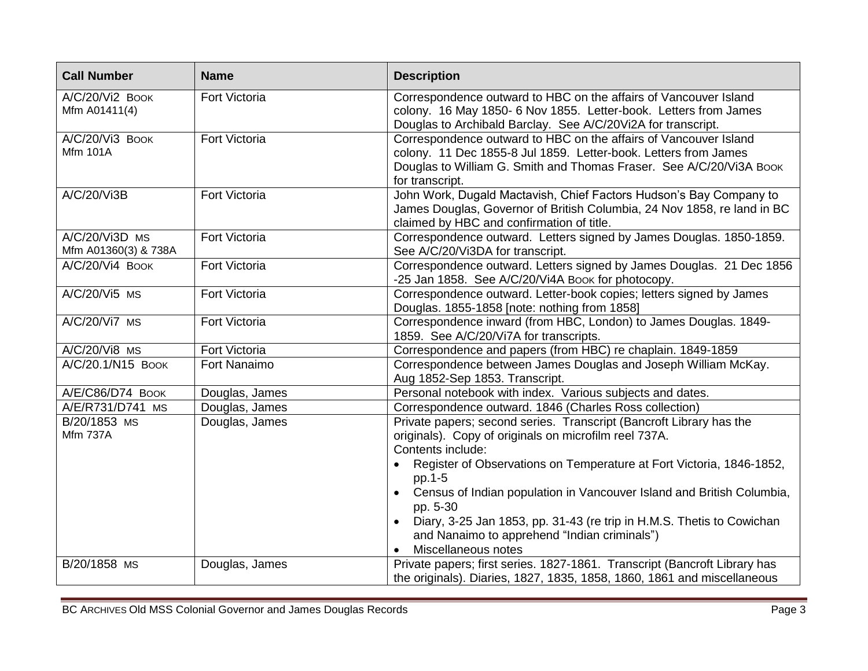| <b>Call Number</b>                     | <b>Name</b>          | <b>Description</b>                                                                                                                                                                                                            |
|----------------------------------------|----------------------|-------------------------------------------------------------------------------------------------------------------------------------------------------------------------------------------------------------------------------|
| A/C/20/Vi2 Book<br>Mfm A01411(4)       | Fort Victoria        | Correspondence outward to HBC on the affairs of Vancouver Island<br>colony. 16 May 1850- 6 Nov 1855. Letter-book. Letters from James<br>Douglas to Archibald Barclay. See A/C/20Vi2A for transcript.                          |
| A/C/20/Vi3 BOOK<br><b>Mfm 101A</b>     | Fort Victoria        | Correspondence outward to HBC on the affairs of Vancouver Island<br>colony. 11 Dec 1855-8 Jul 1859. Letter-book. Letters from James<br>Douglas to William G. Smith and Thomas Fraser. See A/C/20/Vi3A Book<br>for transcript. |
| A/C/20/Vi3B                            | Fort Victoria        | John Work, Dugald Mactavish, Chief Factors Hudson's Bay Company to<br>James Douglas, Governor of British Columbia, 24 Nov 1858, re land in BC<br>claimed by HBC and confirmation of title.                                    |
| A/C/20/Vi3D MS<br>Mfm A01360(3) & 738A | Fort Victoria        | Correspondence outward. Letters signed by James Douglas. 1850-1859.<br>See A/C/20/Vi3DA for transcript.                                                                                                                       |
| A/C/20/Vi4 Book                        | Fort Victoria        | Correspondence outward. Letters signed by James Douglas. 21 Dec 1856<br>-25 Jan 1858. See A/C/20/Vi4A Book for photocopy.                                                                                                     |
| A/C/20/Vi5 MS                          | <b>Fort Victoria</b> | Correspondence outward. Letter-book copies; letters signed by James<br>Douglas. 1855-1858 [note: nothing from 1858]                                                                                                           |
| A/C/20/Vi7 MS                          | <b>Fort Victoria</b> | Correspondence inward (from HBC, London) to James Douglas. 1849-<br>1859. See A/C/20/Vi7A for transcripts.                                                                                                                    |
| A/C/20/Vi8 MS                          | Fort Victoria        | Correspondence and papers (from HBC) re chaplain. 1849-1859                                                                                                                                                                   |
| A/C/20.1/N15 BOOK                      | Fort Nanaimo         | Correspondence between James Douglas and Joseph William McKay.<br>Aug 1852-Sep 1853. Transcript.                                                                                                                              |
| A/E/C86/D74 BOOK                       | Douglas, James       | Personal notebook with index. Various subjects and dates.                                                                                                                                                                     |
| A/E/R731/D741 MS                       | Douglas, James       | Correspondence outward. 1846 (Charles Ross collection)                                                                                                                                                                        |
| B/20/1853 MS<br><b>Mfm 737A</b>        | Douglas, James       | Private papers; second series. Transcript (Bancroft Library has the<br>originals). Copy of originals on microfilm reel 737A.<br>Contents include:<br>Register of Observations on Temperature at Fort Victoria, 1846-1852,     |
|                                        |                      | pp.1-5<br>Census of Indian population in Vancouver Island and British Columbia,<br>pp. 5-30                                                                                                                                   |
|                                        |                      | Diary, 3-25 Jan 1853, pp. 31-43 (re trip in H.M.S. Thetis to Cowichan<br>and Nanaimo to apprehend "Indian criminals")<br>Miscellaneous notes                                                                                  |
| B/20/1858 MS                           | Douglas, James       | Private papers; first series. 1827-1861. Transcript (Bancroft Library has<br>the originals). Diaries, 1827, 1835, 1858, 1860, 1861 and miscellaneous                                                                          |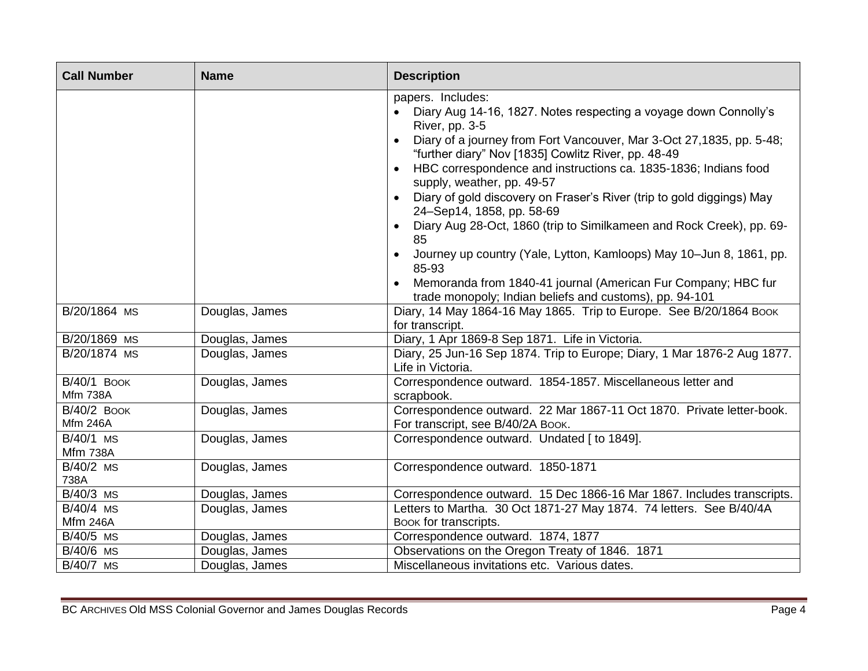| <b>Call Number</b>                    | <b>Name</b>    | <b>Description</b>                                                                                                                                                                                                                                                                                                                                                                                                                                                                                                                                                                                                                                                                                                                      |
|---------------------------------------|----------------|-----------------------------------------------------------------------------------------------------------------------------------------------------------------------------------------------------------------------------------------------------------------------------------------------------------------------------------------------------------------------------------------------------------------------------------------------------------------------------------------------------------------------------------------------------------------------------------------------------------------------------------------------------------------------------------------------------------------------------------------|
|                                       |                | papers. Includes:<br>Diary Aug 14-16, 1827. Notes respecting a voyage down Connolly's<br>River, pp. 3-5<br>Diary of a journey from Fort Vancouver, Mar 3-Oct 27,1835, pp. 5-48;<br>"further diary" Nov [1835] Cowlitz River, pp. 48-49<br>HBC correspondence and instructions ca. 1835-1836; Indians food<br>supply, weather, pp. 49-57<br>Diary of gold discovery on Fraser's River (trip to gold diggings) May<br>24-Sep14, 1858, pp. 58-69<br>Diary Aug 28-Oct, 1860 (trip to Similkameen and Rock Creek), pp. 69-<br>85<br>Journey up country (Yale, Lytton, Kamloops) May 10-Jun 8, 1861, pp.<br>85-93<br>Memoranda from 1840-41 journal (American Fur Company; HBC fur<br>trade monopoly; Indian beliefs and customs), pp. 94-101 |
| B/20/1864 MS                          | Douglas, James | Diary, 14 May 1864-16 May 1865. Trip to Europe. See B/20/1864 Book<br>for transcript.                                                                                                                                                                                                                                                                                                                                                                                                                                                                                                                                                                                                                                                   |
| B/20/1869 MS                          | Douglas, James | Diary, 1 Apr 1869-8 Sep 1871. Life in Victoria.                                                                                                                                                                                                                                                                                                                                                                                                                                                                                                                                                                                                                                                                                         |
| B/20/1874 MS                          | Douglas, James | Diary, 25 Jun-16 Sep 1874. Trip to Europe; Diary, 1 Mar 1876-2 Aug 1877.<br>Life in Victoria.                                                                                                                                                                                                                                                                                                                                                                                                                                                                                                                                                                                                                                           |
| <b>B/40/1 BOOK</b><br><b>Mfm 738A</b> | Douglas, James | Correspondence outward. 1854-1857. Miscellaneous letter and<br>scrapbook.                                                                                                                                                                                                                                                                                                                                                                                                                                                                                                                                                                                                                                                               |
| <b>B/40/2 BOOK</b><br><b>Mfm 246A</b> | Douglas, James | Correspondence outward. 22 Mar 1867-11 Oct 1870. Private letter-book.<br>For transcript, see B/40/2A Book.                                                                                                                                                                                                                                                                                                                                                                                                                                                                                                                                                                                                                              |
| B/40/1 MS<br><b>Mfm 738A</b>          | Douglas, James | Correspondence outward. Undated [ to 1849].                                                                                                                                                                                                                                                                                                                                                                                                                                                                                                                                                                                                                                                                                             |
| B/40/2 MS<br>738A                     | Douglas, James | Correspondence outward. 1850-1871                                                                                                                                                                                                                                                                                                                                                                                                                                                                                                                                                                                                                                                                                                       |
| B/40/3 MS                             | Douglas, James | Correspondence outward. 15 Dec 1866-16 Mar 1867. Includes transcripts.                                                                                                                                                                                                                                                                                                                                                                                                                                                                                                                                                                                                                                                                  |
| B/40/4 MS                             | Douglas, James | Letters to Martha. 30 Oct 1871-27 May 1874. 74 letters. See B/40/4A                                                                                                                                                                                                                                                                                                                                                                                                                                                                                                                                                                                                                                                                     |
| <b>Mfm 246A</b>                       |                | Book for transcripts.                                                                                                                                                                                                                                                                                                                                                                                                                                                                                                                                                                                                                                                                                                                   |
| B/40/5 MS                             | Douglas, James | Correspondence outward. 1874, 1877                                                                                                                                                                                                                                                                                                                                                                                                                                                                                                                                                                                                                                                                                                      |
| $\overline{B}/40/6$ MS                | Douglas, James | Observations on the Oregon Treaty of 1846. 1871                                                                                                                                                                                                                                                                                                                                                                                                                                                                                                                                                                                                                                                                                         |
| $\overline{B/40/7}$ MS                | Douglas, James | Miscellaneous invitations etc. Various dates.                                                                                                                                                                                                                                                                                                                                                                                                                                                                                                                                                                                                                                                                                           |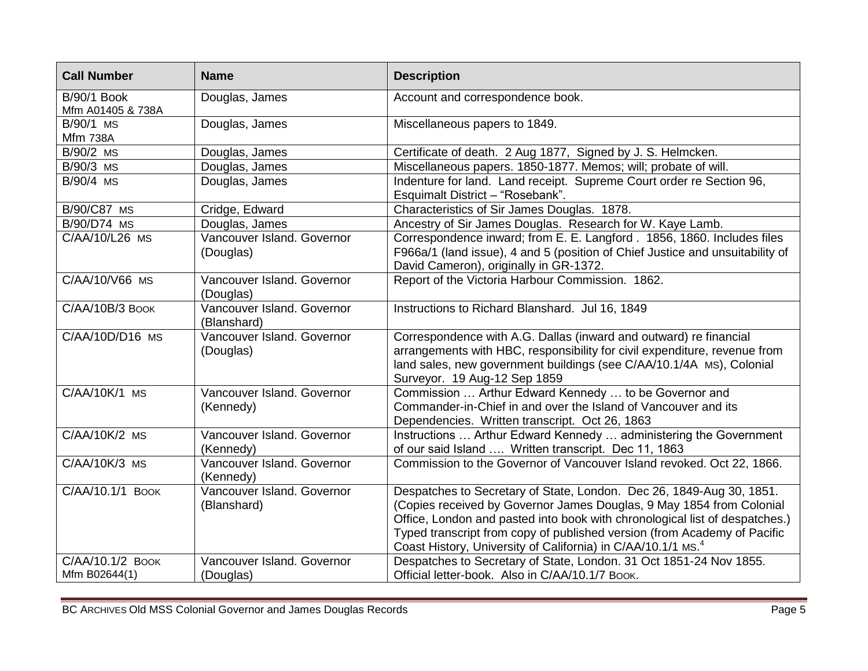| <b>Call Number</b>                      | <b>Name</b>                               | <b>Description</b>                                                                                                                                                                                                                                                                                                                                                                  |
|-----------------------------------------|-------------------------------------------|-------------------------------------------------------------------------------------------------------------------------------------------------------------------------------------------------------------------------------------------------------------------------------------------------------------------------------------------------------------------------------------|
| <b>B/90/1 Book</b><br>Mfm A01405 & 738A | Douglas, James                            | Account and correspondence book.                                                                                                                                                                                                                                                                                                                                                    |
| B/90/1 MS<br><b>Mfm 738A</b>            | Douglas, James                            | Miscellaneous papers to 1849.                                                                                                                                                                                                                                                                                                                                                       |
| B/90/2 MS                               | Douglas, James                            | Certificate of death. 2 Aug 1877, Signed by J. S. Helmcken.                                                                                                                                                                                                                                                                                                                         |
| B/90/3 MS                               | Douglas, James                            | Miscellaneous papers. 1850-1877. Memos; will; probate of will.                                                                                                                                                                                                                                                                                                                      |
| B/90/4 MS                               | Douglas, James                            | Indenture for land. Land receipt. Supreme Court order re Section 96,<br>Esquimalt District - "Rosebank".                                                                                                                                                                                                                                                                            |
| B/90/C87 MS                             | Cridge, Edward                            | Characteristics of Sir James Douglas. 1878.                                                                                                                                                                                                                                                                                                                                         |
| B/90/D74 MS                             | Douglas, James                            | Ancestry of Sir James Douglas. Research for W. Kaye Lamb.                                                                                                                                                                                                                                                                                                                           |
| C/AA/10/L26 MS                          | Vancouver Island. Governor<br>(Douglas)   | Correspondence inward; from E. E. Langford. 1856, 1860. Includes files<br>F966a/1 (land issue), 4 and 5 (position of Chief Justice and unsuitability of<br>David Cameron), originally in GR-1372.                                                                                                                                                                                   |
| C/AA/10/V66 MS                          | Vancouver Island. Governor<br>(Douglas)   | Report of the Victoria Harbour Commission. 1862.                                                                                                                                                                                                                                                                                                                                    |
| C/AA/10B/3 BOOK                         | Vancouver Island, Governor<br>(Blanshard) | Instructions to Richard Blanshard. Jul 16, 1849                                                                                                                                                                                                                                                                                                                                     |
| C/AA/10D/D16 MS                         | Vancouver Island. Governor<br>(Douglas)   | Correspondence with A.G. Dallas (inward and outward) re financial<br>arrangements with HBC, responsibility for civil expenditure, revenue from<br>land sales, new government buildings (see C/AA/10.1/4A MS), Colonial<br>Surveyor. 19 Aug-12 Sep 1859                                                                                                                              |
| $C/AA/10K/1$ MS                         | Vancouver Island. Governor<br>(Kennedy)   | Commission  Arthur Edward Kennedy  to be Governor and<br>Commander-in-Chief in and over the Island of Vancouver and its<br>Dependencies. Written transcript. Oct 26, 1863                                                                                                                                                                                                           |
| $C/AA/10K/2$ MS                         | Vancouver Island. Governor<br>(Kennedy)   | Instructions  Arthur Edward Kennedy  administering the Government<br>of our said Island  Written transcript. Dec 11, 1863                                                                                                                                                                                                                                                           |
| C/AA/10K/3 MS                           | Vancouver Island. Governor<br>(Kennedy)   | Commission to the Governor of Vancouver Island revoked. Oct 22, 1866.                                                                                                                                                                                                                                                                                                               |
| C/AA/10.1/1 BOOK                        | Vancouver Island. Governor<br>(Blanshard) | Despatches to Secretary of State, London. Dec 26, 1849-Aug 30, 1851.<br>(Copies received by Governor James Douglas, 9 May 1854 from Colonial<br>Office, London and pasted into book with chronological list of despatches.)<br>Typed transcript from copy of published version (from Academy of Pacific<br>Coast History, University of California) in C/AA/10.1/1 MS. <sup>4</sup> |
| C/AA/10.1/2 BOOK<br>Mfm B02644(1)       | Vancouver Island. Governor<br>(Douglas)   | Despatches to Secretary of State, London. 31 Oct 1851-24 Nov 1855.<br>Official letter-book. Also in C/AA/10.1/7 Book.                                                                                                                                                                                                                                                               |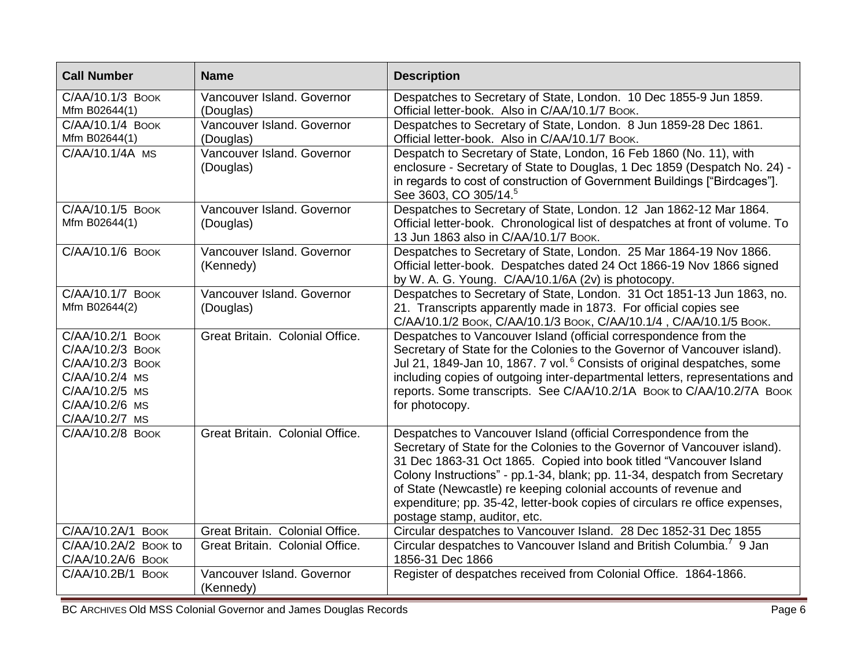| <b>Call Number</b>                                                                                                               | <b>Name</b>                             | <b>Description</b>                                                                                                                                                                                                                                                                                                                                                                                                                                                                  |
|----------------------------------------------------------------------------------------------------------------------------------|-----------------------------------------|-------------------------------------------------------------------------------------------------------------------------------------------------------------------------------------------------------------------------------------------------------------------------------------------------------------------------------------------------------------------------------------------------------------------------------------------------------------------------------------|
| C/AA/10.1/3 BOOK<br>Mfm B02644(1)                                                                                                | Vancouver Island. Governor<br>(Douglas) | Despatches to Secretary of State, London. 10 Dec 1855-9 Jun 1859.<br>Official letter-book. Also in C/AA/10.1/7 BOOK.                                                                                                                                                                                                                                                                                                                                                                |
| C/AA/10.1/4 BOOK<br>Mfm B02644(1)                                                                                                | Vancouver Island. Governor<br>(Douglas) | Despatches to Secretary of State, London. 8 Jun 1859-28 Dec 1861.<br>Official letter-book. Also in C/AA/10.1/7 BOOK.                                                                                                                                                                                                                                                                                                                                                                |
| C/AA/10.1/4A MS                                                                                                                  | Vancouver Island. Governor<br>(Douglas) | Despatch to Secretary of State, London, 16 Feb 1860 (No. 11), with<br>enclosure - Secretary of State to Douglas, 1 Dec 1859 (Despatch No. 24) -<br>in regards to cost of construction of Government Buildings ["Birdcages"].<br>See 3603, CO 305/14. <sup>5</sup>                                                                                                                                                                                                                   |
| C/AA/10.1/5 BOOK<br>Mfm B02644(1)                                                                                                | Vancouver Island, Governor<br>(Douglas) | Despatches to Secretary of State, London. 12 Jan 1862-12 Mar 1864.<br>Official letter-book. Chronological list of despatches at front of volume. To<br>13 Jun 1863 also in C/AA/10.1/7 Book.                                                                                                                                                                                                                                                                                        |
| C/AA/10.1/6 BOOK                                                                                                                 | Vancouver Island. Governor<br>(Kennedy) | Despatches to Secretary of State, London. 25 Mar 1864-19 Nov 1866.<br>Official letter-book. Despatches dated 24 Oct 1866-19 Nov 1866 signed<br>by W. A. G. Young. C/AA/10.1/6A (2v) is photocopy.                                                                                                                                                                                                                                                                                   |
| C/AA/10.1/7 BOOK<br>Mfm B02644(2)                                                                                                | Vancouver Island. Governor<br>(Douglas) | Despatches to Secretary of State, London. 31 Oct 1851-13 Jun 1863, no.<br>21. Transcripts apparently made in 1873. For official copies see<br>С/AA/10.1/2 Воок, С/AA/10.1/3 Воок, С/AA/10.1/4, С/AA/10.1/5 Воок.                                                                                                                                                                                                                                                                    |
| C/AA/10.2/1 BOOK<br>C/AA/10.2/3 BOOK<br>C/AA/10.2/3 BOOK<br>C/AA/10.2/4 MS<br>C/AA/10.2/5 MS<br>C/AA/10.2/6 MS<br>C/AA/10.2/7 MS | Great Britain. Colonial Office.         | Despatches to Vancouver Island (official correspondence from the<br>Secretary of State for the Colonies to the Governor of Vancouver island).<br>Jul 21, 1849-Jan 10, 1867. 7 vol. <sup>6</sup> Consists of original despatches, some<br>including copies of outgoing inter-departmental letters, representations and<br>reports. Some transcripts. See C/AA/10.2/1A Book to C/AA/10.2/7A Book<br>for photocopy.                                                                    |
| C/AA/10.2/8 BOOK                                                                                                                 | Great Britain. Colonial Office.         | Despatches to Vancouver Island (official Correspondence from the<br>Secretary of State for the Colonies to the Governor of Vancouver island).<br>31 Dec 1863-31 Oct 1865. Copied into book titled "Vancouver Island<br>Colony Instructions" - pp.1-34, blank; pp. 11-34, despatch from Secretary<br>of State (Newcastle) re keeping colonial accounts of revenue and<br>expenditure; pp. 35-42, letter-book copies of circulars re office expenses,<br>postage stamp, auditor, etc. |
| C/AA/10.2A/1 BOOK                                                                                                                | Great Britain. Colonial Office.         | Circular despatches to Vancouver Island. 28 Dec 1852-31 Dec 1855                                                                                                                                                                                                                                                                                                                                                                                                                    |
| C/AA/10.2A/2 Book to<br>C/AA/10.2A/6 BOOK                                                                                        | Great Britain. Colonial Office.         | Circular despatches to Vancouver Island and British Columbia. <sup>7</sup> 9 Jan<br>1856-31 Dec 1866                                                                                                                                                                                                                                                                                                                                                                                |
| C/AA/10.2B/1 BOOK                                                                                                                | Vancouver Island. Governor<br>(Kennedy) | Register of despatches received from Colonial Office. 1864-1866.                                                                                                                                                                                                                                                                                                                                                                                                                    |
| Page 6<br>BC ARCHIVES Old MSS Colonial Governor and James Douglas Records                                                        |                                         |                                                                                                                                                                                                                                                                                                                                                                                                                                                                                     |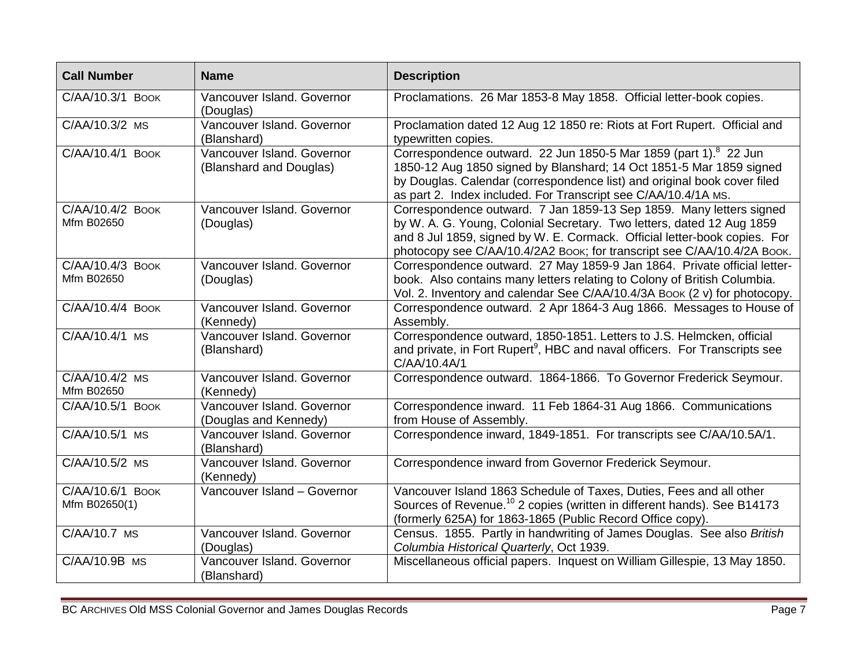| <b>Call Number</b>                | <b>Name</b>                                           | <b>Description</b>                                                                                                                                                                                                                                                                                   |
|-----------------------------------|-------------------------------------------------------|------------------------------------------------------------------------------------------------------------------------------------------------------------------------------------------------------------------------------------------------------------------------------------------------------|
| C/AA/10.3/1 BOOK                  | Vancouver Island. Governor<br>(Douglas)               | Proclamations. 26 Mar 1853-8 May 1858. Official letter-book copies.                                                                                                                                                                                                                                  |
| C/AA/10.3/2 MS                    | Vancouver Island. Governor<br>(Blanshard)             | Proclamation dated 12 Aug 12 1850 re: Riots at Fort Rupert. Official and<br>typewritten copies.                                                                                                                                                                                                      |
| C/AA/10.4/1 BOOK                  | Vancouver Island. Governor<br>(Blanshard and Douglas) | Correspondence outward. 22 Jun 1850-5 Mar 1859 (part 1). <sup>8</sup> 22 Jun<br>1850-12 Aug 1850 signed by Blanshard; 14 Oct 1851-5 Mar 1859 signed<br>by Douglas. Calendar (correspondence list) and original book cover filed<br>as part 2. Index included. For Transcript see C/AA/10.4/1A MS.    |
| C/AA/10.4/2 BOOK<br>Mfm B02650    | Vancouver Island. Governor<br>(Douglas)               | Correspondence outward. 7 Jan 1859-13 Sep 1859. Many letters signed<br>by W. A. G. Young, Colonial Secretary. Two letters, dated 12 Aug 1859<br>and 8 Jul 1859, signed by W. E. Cormack. Official letter-book copies. For<br>photocopy see C/AA/10.4/2A2 Book; for transcript see C/AA/10.4/2A Book. |
| C/AA/10.4/3 BOOK<br>Mfm B02650    | Vancouver Island. Governor<br>(Douglas)               | Correspondence outward. 27 May 1859-9 Jan 1864. Private official letter-<br>book. Also contains many letters relating to Colony of British Columbia.<br>Vol. 2. Inventory and calendar See C/AA/10.4/3A Book (2 v) for photocopy.                                                                    |
| C/AA/10.4/4 BOOK                  | Vancouver Island. Governor<br>(Kennedy)               | Correspondence outward. 2 Apr 1864-3 Aug 1866. Messages to House of<br>Assembly.                                                                                                                                                                                                                     |
| C/AA/10.4/1 MS                    | Vancouver Island. Governor<br>(Blanshard)             | Correspondence outward, 1850-1851. Letters to J.S. Helmcken, official<br>and private, in Fort Rupert <sup>9</sup> , HBC and naval officers. For Transcripts see<br>C/AA/10.4A/1                                                                                                                      |
| C/AA/10.4/2 MS<br>Mfm B02650      | Vancouver Island. Governor<br>(Kennedy)               | Correspondence outward. 1864-1866. To Governor Frederick Seymour.                                                                                                                                                                                                                                    |
| C/AA/10.5/1 BOOK                  | Vancouver Island, Governor<br>(Douglas and Kennedy)   | Correspondence inward. 11 Feb 1864-31 Aug 1866. Communications<br>from House of Assembly.                                                                                                                                                                                                            |
| C/AA/10.5/1 MS                    | Vancouver Island, Governor<br>(Blanshard)             | Correspondence inward, 1849-1851. For transcripts see C/AA/10.5A/1.                                                                                                                                                                                                                                  |
| C/AA/10.5/2 MS                    | Vancouver Island, Governor<br>(Kennedy)               | Correspondence inward from Governor Frederick Seymour.                                                                                                                                                                                                                                               |
| C/AA/10.6/1 BOOK<br>Mfm B02650(1) | Vancouver Island - Governor                           | Vancouver Island 1863 Schedule of Taxes, Duties, Fees and all other<br>Sources of Revenue. <sup>10</sup> 2 copies (written in different hands). See B14173<br>(formerly 625A) for 1863-1865 (Public Record Office copy).                                                                             |
| C/AA/10.7 MS                      | Vancouver Island. Governor<br>(Douglas)               | Census. 1855. Partly in handwriting of James Douglas. See also British<br>Columbia Historical Quarterly, Oct 1939.                                                                                                                                                                                   |
| C/AA/10.9B MS                     | Vancouver Island. Governor<br>(Blanshard)             | Miscellaneous official papers. Inquest on William Gillespie, 13 May 1850.                                                                                                                                                                                                                            |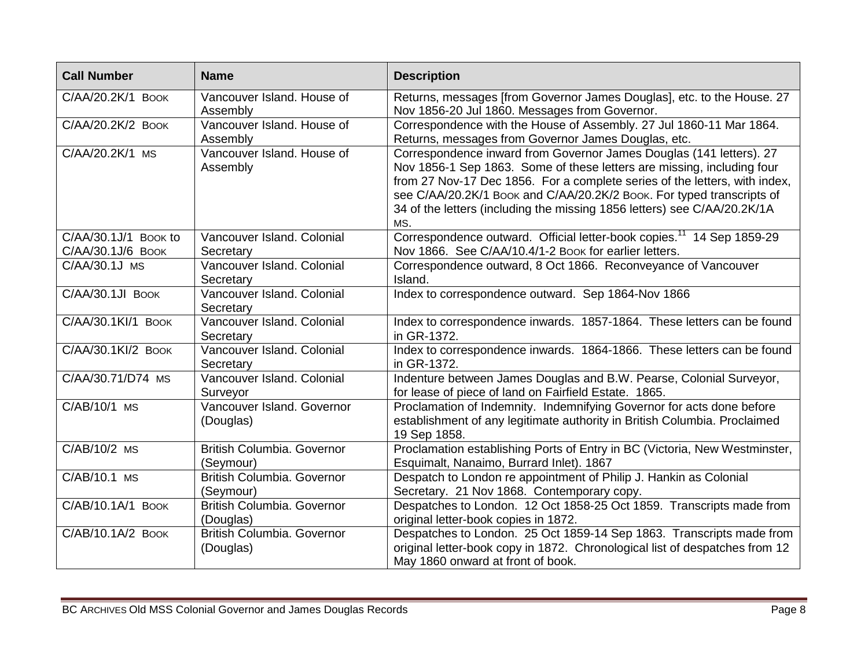| <b>Call Number</b>                          | <b>Name</b>                             | <b>Description</b>                                                                                                                                                                                                                                                                                                                                                                      |
|---------------------------------------------|-----------------------------------------|-----------------------------------------------------------------------------------------------------------------------------------------------------------------------------------------------------------------------------------------------------------------------------------------------------------------------------------------------------------------------------------------|
| C/AA/20.2K/1 BOOK                           | Vancouver Island. House of<br>Assembly  | Returns, messages [from Governor James Douglas], etc. to the House. 27<br>Nov 1856-20 Jul 1860. Messages from Governor.                                                                                                                                                                                                                                                                 |
| C/AA/20.2K/2 BOOK                           | Vancouver Island. House of<br>Assembly  | Correspondence with the House of Assembly. 27 Jul 1860-11 Mar 1864.<br>Returns, messages from Governor James Douglas, etc.                                                                                                                                                                                                                                                              |
| C/AA/20.2K/1 MS                             | Vancouver Island. House of<br>Assembly  | Correspondence inward from Governor James Douglas (141 letters). 27<br>Nov 1856-1 Sep 1863. Some of these letters are missing, including four<br>from 27 Nov-17 Dec 1856. For a complete series of the letters, with index,<br>see C/AA/20.2K/1 Book and C/AA/20.2K/2 Book. For typed transcripts of<br>34 of the letters (including the missing 1856 letters) see C/AA/20.2K/1A<br>MS. |
| $C/AA/30.1J/1$ Book to<br>C/AA/30.1J/6 BOOK | Vancouver Island. Colonial<br>Secretary | Correspondence outward. Official letter-book copies. <sup>11</sup> 14 Sep 1859-29<br>Nov 1866. See C/AA/10.4/1-2 Book for earlier letters.                                                                                                                                                                                                                                              |
| C/AA/30.1J MS                               | Vancouver Island. Colonial<br>Secretary | Correspondence outward, 8 Oct 1866. Reconveyance of Vancouver<br>Island.                                                                                                                                                                                                                                                                                                                |
| C/AA/30.1JI BOOK                            | Vancouver Island. Colonial<br>Secretary | Index to correspondence outward. Sep 1864-Nov 1866                                                                                                                                                                                                                                                                                                                                      |
| C/AA/30.1KI/1 BOOK                          | Vancouver Island. Colonial<br>Secretary | Index to correspondence inwards. 1857-1864. These letters can be found<br>in GR-1372.                                                                                                                                                                                                                                                                                                   |
| C/AA/30.1KI/2 BOOK                          | Vancouver Island. Colonial<br>Secretary | Index to correspondence inwards. 1864-1866. These letters can be found<br>in GR-1372.                                                                                                                                                                                                                                                                                                   |
| C/AA/30.71/D74 MS                           | Vancouver Island. Colonial<br>Surveyor  | Indenture between James Douglas and B.W. Pearse, Colonial Surveyor,<br>for lease of piece of land on Fairfield Estate. 1865.                                                                                                                                                                                                                                                            |
| C/AB/10/1 MS                                | Vancouver Island. Governor<br>(Douglas) | Proclamation of Indemnity. Indemnifying Governor for acts done before<br>establishment of any legitimate authority in British Columbia. Proclaimed<br>19 Sep 1858.                                                                                                                                                                                                                      |
| C/AB/10/2 MS                                | British Columbia. Governor<br>(Seymour) | Proclamation establishing Ports of Entry in BC (Victoria, New Westminster,<br>Esquimalt, Nanaimo, Burrard Inlet). 1867                                                                                                                                                                                                                                                                  |
| C/AB/10.1 MS                                | British Columbia. Governor<br>(Seymour) | Despatch to London re appointment of Philip J. Hankin as Colonial<br>Secretary. 21 Nov 1868. Contemporary copy.                                                                                                                                                                                                                                                                         |
| C/AB/10.1A/1 BOOK                           | British Columbia, Governor<br>(Douglas) | Despatches to London. 12 Oct 1858-25 Oct 1859. Transcripts made from<br>original letter-book copies in 1872.                                                                                                                                                                                                                                                                            |
| C/AB/10.1A/2 BOOK                           | British Columbia. Governor<br>(Douglas) | Despatches to London. 25 Oct 1859-14 Sep 1863. Transcripts made from<br>original letter-book copy in 1872. Chronological list of despatches from 12<br>May 1860 onward at front of book.                                                                                                                                                                                                |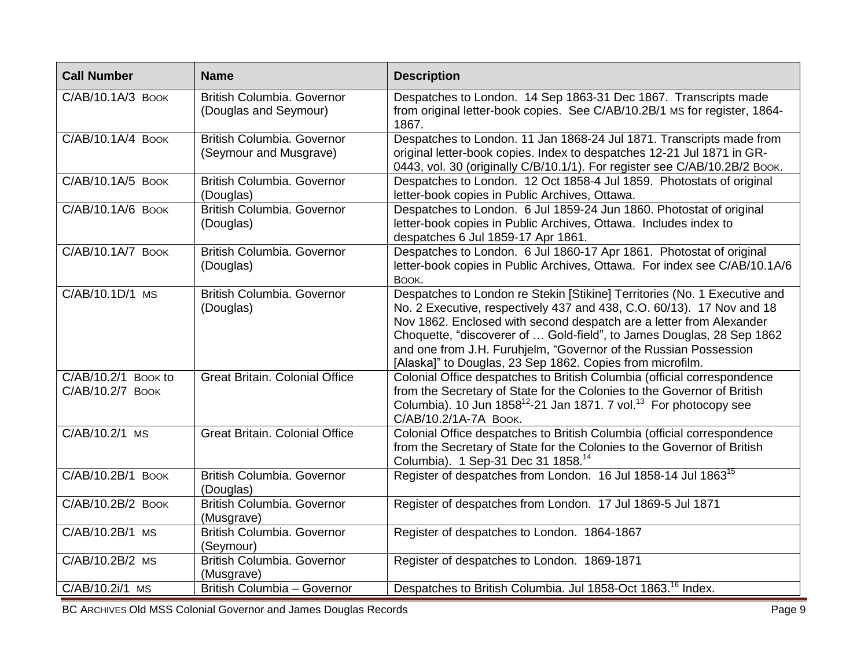| <b>Call Number</b>                                                        | <b>Name</b>                                          | <b>Description</b>                                                                                                                                                                                                                                                                                                                                                                                                                  |  |
|---------------------------------------------------------------------------|------------------------------------------------------|-------------------------------------------------------------------------------------------------------------------------------------------------------------------------------------------------------------------------------------------------------------------------------------------------------------------------------------------------------------------------------------------------------------------------------------|--|
| C/AB/10.1A/3 BOOK                                                         | British Columbia. Governor<br>(Douglas and Seymour)  | Despatches to London. 14 Sep 1863-31 Dec 1867. Transcripts made<br>from original letter-book copies. See C/AB/10.2B/1 MS for register, 1864-<br>1867.                                                                                                                                                                                                                                                                               |  |
| C/AB/10.1A/4 BOOK                                                         | British Columbia. Governor<br>(Seymour and Musgrave) | Despatches to London. 11 Jan 1868-24 Jul 1871. Transcripts made from<br>original letter-book copies. Index to despatches 12-21 Jul 1871 in GR-<br>0443, vol. 30 (originally C/B/10.1/1). For register see C/AB/10.2B/2 Воок.                                                                                                                                                                                                        |  |
| C/AB/10.1A/5 BOOK                                                         | <b>British Columbia, Governor</b><br>(Douglas)       | Despatches to London. 12 Oct 1858-4 Jul 1859. Photostats of original<br>letter-book copies in Public Archives, Ottawa.                                                                                                                                                                                                                                                                                                              |  |
| C/AB/10.1A/6 BOOK                                                         | British Columbia. Governor<br>(Douglas)              | Despatches to London. 6 Jul 1859-24 Jun 1860. Photostat of original<br>letter-book copies in Public Archives, Ottawa. Includes index to<br>despatches 6 Jul 1859-17 Apr 1861.                                                                                                                                                                                                                                                       |  |
| C/AB/10.1A/7 BOOK                                                         | British Columbia. Governor<br>(Douglas)              | Despatches to London. 6 Jul 1860-17 Apr 1861. Photostat of original<br>letter-book copies in Public Archives, Ottawa. For index see C/AB/10.1A/6<br>BOOK.                                                                                                                                                                                                                                                                           |  |
| C/AB/10.1D/1 MS                                                           | British Columbia. Governor<br>(Douglas)              | Despatches to London re Stekin [Stikine] Territories (No. 1 Executive and<br>No. 2 Executive, respectively 437 and 438, C.O. 60/13). 17 Nov and 18<br>Nov 1862. Enclosed with second despatch are a letter from Alexander<br>Choquette, "discoverer of  Gold-field", to James Douglas, 28 Sep 1862<br>and one from J.H. Furuhjelm, "Governor of the Russian Possession<br>[Alaska]" to Douglas, 23 Sep 1862. Copies from microfilm. |  |
| C/AB/10.2/1 Book to<br>C/AB/10.2/7 BOOK                                   | <b>Great Britain. Colonial Office</b>                | Colonial Office despatches to British Columbia (official correspondence<br>from the Secretary of State for the Colonies to the Governor of British<br>Columbia). 10 Jun $1858^{12}$ -21 Jan 1871. 7 vol. <sup>13</sup> For photocopy see<br>С/АВ/10.2/1А-7А ВООК.                                                                                                                                                                   |  |
| C/AB/10.2/1 MS                                                            | <b>Great Britain, Colonial Office</b>                | Colonial Office despatches to British Columbia (official correspondence<br>from the Secretary of State for the Colonies to the Governor of British<br>Columbia). 1 Sep-31 Dec 31 1858. <sup>14</sup>                                                                                                                                                                                                                                |  |
| C/AB/10.2B/1 BOOK                                                         | British Columbia, Governor<br>(Douglas)              | Register of despatches from London. 16 Jul 1858-14 Jul 1863 <sup>15</sup>                                                                                                                                                                                                                                                                                                                                                           |  |
| C/AB/10.2B/2 BOOK                                                         | British Columbia. Governor<br>(Musgrave)             | Register of despatches from London. 17 Jul 1869-5 Jul 1871                                                                                                                                                                                                                                                                                                                                                                          |  |
| C/AB/10.2B/1 MS                                                           | British Columbia. Governor<br>(Seymour)              | Register of despatches to London. 1864-1867                                                                                                                                                                                                                                                                                                                                                                                         |  |
| C/AB/10.2B/2 MS                                                           | <b>British Columbia. Governor</b><br>(Musgrave)      | Register of despatches to London. 1869-1871                                                                                                                                                                                                                                                                                                                                                                                         |  |
| C/AB/10.2i/1 MS                                                           | British Columbia - Governor                          | Despatches to British Columbia. Jul 1858-Oct 1863. <sup>16</sup> Index.                                                                                                                                                                                                                                                                                                                                                             |  |
| BC ARCHIVES Old MSS Colonial Governor and James Douglas Records<br>Page 9 |                                                      |                                                                                                                                                                                                                                                                                                                                                                                                                                     |  |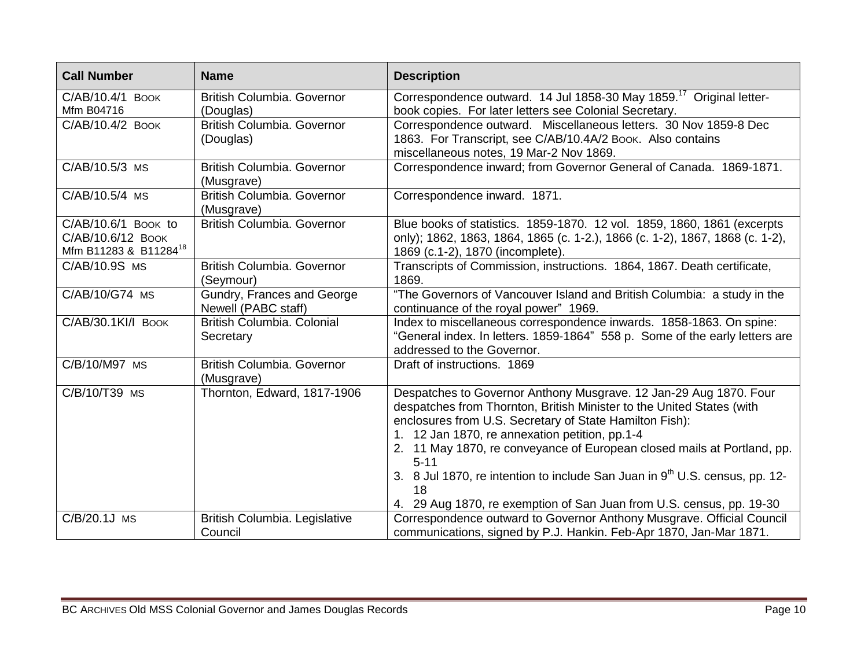| <b>Call Number</b>                                                            | <b>Name</b>                                       | <b>Description</b>                                                                                                                                                                                                                                                                                                                             |
|-------------------------------------------------------------------------------|---------------------------------------------------|------------------------------------------------------------------------------------------------------------------------------------------------------------------------------------------------------------------------------------------------------------------------------------------------------------------------------------------------|
| C/AB/10.4/1 BOOK                                                              | British Columbia. Governor                        | Correspondence outward. 14 Jul 1858-30 May 1859. <sup>17</sup> Original letter-                                                                                                                                                                                                                                                                |
| Mfm B04716                                                                    | (Douglas)                                         | book copies. For later letters see Colonial Secretary.                                                                                                                                                                                                                                                                                         |
| C/AB/10.4/2 BOOK                                                              | British Columbia. Governor<br>(Douglas)           | Correspondence outward. Miscellaneous letters. 30 Nov 1859-8 Dec<br>1863. For Transcript, see C/AB/10.4A/2 Book. Also contains<br>miscellaneous notes, 19 Mar-2 Nov 1869.                                                                                                                                                                      |
| C/AB/10.5/3 MS                                                                | British Columbia. Governor<br>(Musgrave)          | Correspondence inward; from Governor General of Canada. 1869-1871.                                                                                                                                                                                                                                                                             |
| C/AB/10.5/4 MS                                                                | British Columbia. Governor<br>(Musgrave)          | Correspondence inward. 1871.                                                                                                                                                                                                                                                                                                                   |
| C/AB/10.6/1 BOOK to<br>С/АВ/10.6/12 Воок<br>Mfm B11283 & B11284 <sup>18</sup> | British Columbia. Governor                        | Blue books of statistics. 1859-1870. 12 vol. 1859, 1860, 1861 (excerpts<br>only); 1862, 1863, 1864, 1865 (c. 1-2.), 1866 (c. 1-2), 1867, 1868 (c. 1-2),<br>1869 (c.1-2), 1870 (incomplete).                                                                                                                                                    |
| C/AB/10.9S MS                                                                 | British Columbia. Governor<br>(Seymour)           | Transcripts of Commission, instructions. 1864, 1867. Death certificate,<br>1869.                                                                                                                                                                                                                                                               |
| C/AB/10/G74 MS                                                                | Gundry, Frances and George<br>Newell (PABC staff) | "The Governors of Vancouver Island and British Columbia: a study in the<br>continuance of the royal power" 1969.                                                                                                                                                                                                                               |
| C/AB/30.1KI/I BOOK                                                            | British Columbia. Colonial<br>Secretary           | Index to miscellaneous correspondence inwards. 1858-1863. On spine:<br>"General index. In letters. 1859-1864" 558 p. Some of the early letters are<br>addressed to the Governor.                                                                                                                                                               |
| C/B/10/M97 MS                                                                 | British Columbia. Governor<br>(Musgrave)          | Draft of instructions. 1869                                                                                                                                                                                                                                                                                                                    |
| C/B/10/T39 MS                                                                 | Thornton, Edward, 1817-1906                       | Despatches to Governor Anthony Musgrave. 12 Jan-29 Aug 1870. Four<br>despatches from Thornton, British Minister to the United States (with<br>enclosures from U.S. Secretary of State Hamilton Fish):<br>1. 12 Jan 1870, re annexation petition, pp.1-4<br>2. 11 May 1870, re conveyance of European closed mails at Portland, pp.<br>$5 - 11$ |
|                                                                               |                                                   | 3. 8 Jul 1870, re intention to include San Juan in 9 <sup>th</sup> U.S. census, pp. 12-<br>18                                                                                                                                                                                                                                                  |
|                                                                               |                                                   | 4. 29 Aug 1870, re exemption of San Juan from U.S. census, pp. 19-30                                                                                                                                                                                                                                                                           |
| C/B/20.1J MS                                                                  | British Columbia. Legislative<br>Council          | Correspondence outward to Governor Anthony Musgrave. Official Council<br>communications, signed by P.J. Hankin. Feb-Apr 1870, Jan-Mar 1871.                                                                                                                                                                                                    |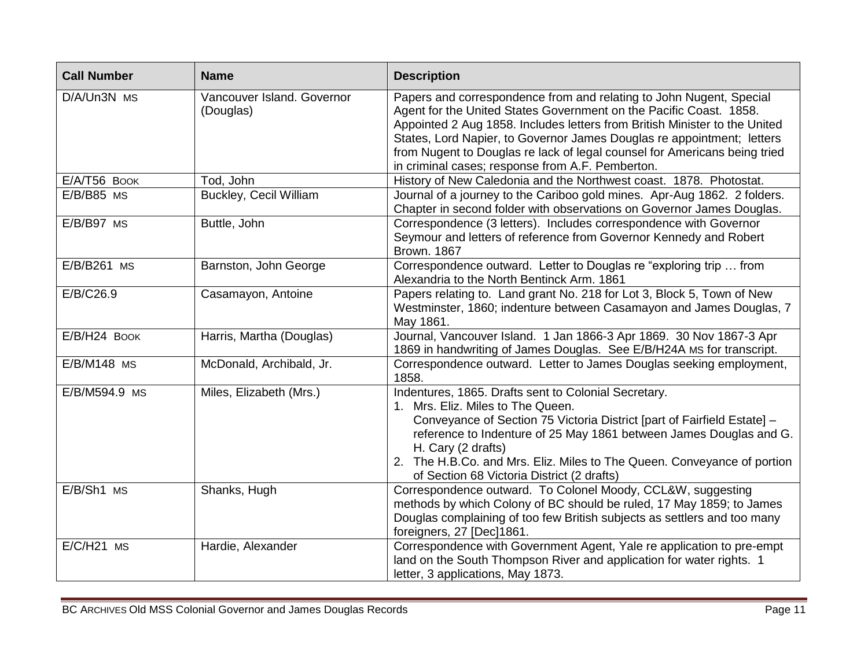| <b>Call Number</b> | <b>Name</b>                             | <b>Description</b>                                                                                                                                                                                                                                                                                                                                                                                                                 |
|--------------------|-----------------------------------------|------------------------------------------------------------------------------------------------------------------------------------------------------------------------------------------------------------------------------------------------------------------------------------------------------------------------------------------------------------------------------------------------------------------------------------|
| D/A/Un3N MS        | Vancouver Island. Governor<br>(Douglas) | Papers and correspondence from and relating to John Nugent, Special<br>Agent for the United States Government on the Pacific Coast. 1858.<br>Appointed 2 Aug 1858. Includes letters from British Minister to the United<br>States, Lord Napier, to Governor James Douglas re appointment; letters<br>from Nugent to Douglas re lack of legal counsel for Americans being tried<br>in criminal cases; response from A.F. Pemberton. |
| E/A/T56 BOOK       | Tod, John                               | History of New Caledonia and the Northwest coast. 1878. Photostat.                                                                                                                                                                                                                                                                                                                                                                 |
| $E/B/B85$ MS       | <b>Buckley, Cecil William</b>           | Journal of a journey to the Cariboo gold mines. Apr-Aug 1862. 2 folders.<br>Chapter in second folder with observations on Governor James Douglas.                                                                                                                                                                                                                                                                                  |
| E/B/B97 MS         | Buttle, John                            | Correspondence (3 letters). Includes correspondence with Governor<br>Seymour and letters of reference from Governor Kennedy and Robert<br><b>Brown. 1867</b>                                                                                                                                                                                                                                                                       |
| E/B/B261 MS        | Barnston, John George                   | Correspondence outward. Letter to Douglas re "exploring trip  from<br>Alexandria to the North Bentinck Arm. 1861                                                                                                                                                                                                                                                                                                                   |
| E/B/C26.9          | Casamayon, Antoine                      | Papers relating to. Land grant No. 218 for Lot 3, Block 5, Town of New<br>Westminster, 1860; indenture between Casamayon and James Douglas, 7<br>May 1861.                                                                                                                                                                                                                                                                         |
| E/B/H24 BOOK       | Harris, Martha (Douglas)                | Journal, Vancouver Island. 1 Jan 1866-3 Apr 1869. 30 Nov 1867-3 Apr<br>1869 in handwriting of James Douglas. See E/B/H24A MS for transcript.                                                                                                                                                                                                                                                                                       |
| E/B/M148 MS        | McDonald, Archibald, Jr.                | Correspondence outward. Letter to James Douglas seeking employment,<br>1858.                                                                                                                                                                                                                                                                                                                                                       |
| E/B/M594.9 MS      | Miles, Elizabeth (Mrs.)                 | Indentures, 1865. Drafts sent to Colonial Secretary.<br>1. Mrs. Eliz. Miles to The Queen.<br>Conveyance of Section 75 Victoria District [part of Fairfield Estate] -<br>reference to Indenture of 25 May 1861 between James Douglas and G.<br>H. Cary (2 drafts)<br>2. The H.B.Co. and Mrs. Eliz. Miles to The Queen. Conveyance of portion<br>of Section 68 Victoria District (2 drafts)                                          |
| E/B/Sh1 MS         | Shanks, Hugh                            | Correspondence outward. To Colonel Moody, CCL&W, suggesting<br>methods by which Colony of BC should be ruled, 17 May 1859; to James<br>Douglas complaining of too few British subjects as settlers and too many<br>foreigners, 27 [Dec]1861.                                                                                                                                                                                       |
| $E/C/H21$ MS       | Hardie, Alexander                       | Correspondence with Government Agent, Yale re application to pre-empt<br>land on the South Thompson River and application for water rights. 1<br>letter, 3 applications, May 1873.                                                                                                                                                                                                                                                 |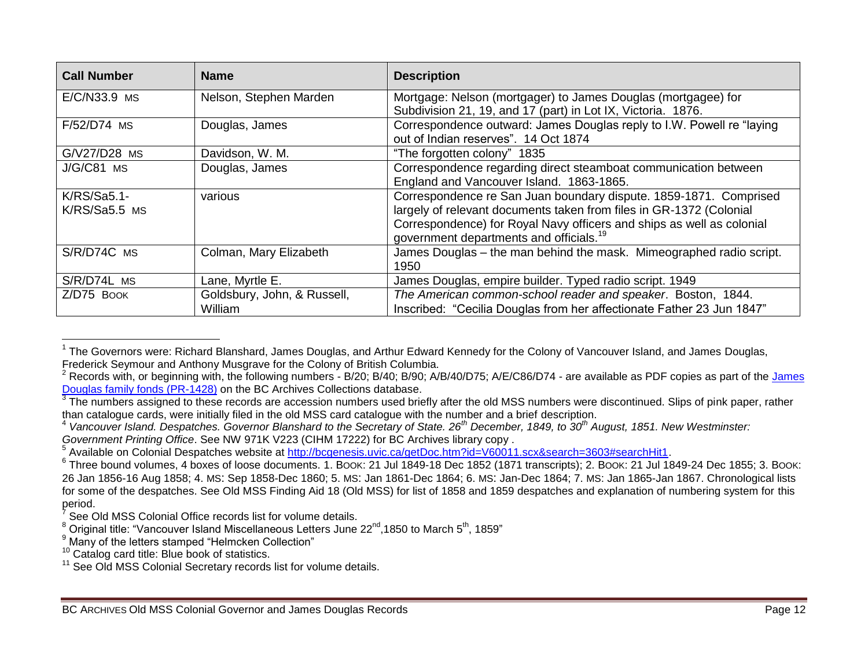| <b>Call Number</b> | <b>Name</b>                 | <b>Description</b>                                                     |
|--------------------|-----------------------------|------------------------------------------------------------------------|
| E/C/N33.9 MS       | Nelson, Stephen Marden      | Mortgage: Nelson (mortgager) to James Douglas (mortgagee) for          |
|                    |                             | Subdivision 21, 19, and 17 (part) in Lot IX, Victoria. 1876.           |
| F/52/D74 MS        | Douglas, James              | Correspondence outward: James Douglas reply to I.W. Powell re "laying" |
|                    |                             | out of Indian reserves", 14 Oct 1874                                   |
| G/V27/D28 MS       | Davidson, W. M.             | "The forgotten colony" 1835                                            |
| J/G/C81 MS         | Douglas, James              | Correspondence regarding direct steamboat communication between        |
|                    |                             | England and Vancouver Island. 1863-1865.                               |
| $K/RS/Sa5.1-$      | various                     | Correspondence re San Juan boundary dispute. 1859-1871. Comprised      |
| K/RS/Sa5.5 MS      |                             | largely of relevant documents taken from files in GR-1372 (Colonial    |
|                    |                             | Correspondence) for Royal Navy officers and ships as well as colonial  |
|                    |                             | government departments and officials. <sup>19</sup>                    |
| S/R/D74C MS        | Colman, Mary Elizabeth      | James Douglas - the man behind the mask. Mimeographed radio script.    |
|                    |                             | 1950                                                                   |
| S/R/D74L MS        | Lane, Myrtle E.             | James Douglas, empire builder. Typed radio script. 1949                |
| Z/D75 BOOK         | Goldsbury, John, & Russell, | The American common-school reader and speaker. Boston, 1844.           |
|                    | William                     | Inscribed: "Cecilia Douglas from her affectionate Father 23 Jun 1847"  |

<sup>————————————————————&</sup>lt;br><sup>1</sup> The Governors were: Richard Blanshard, James Douglas, and Arthur Edward Kennedy for the Colony of Vancouver Island, and James Douglas, Frederick Seymour and Anthony Musgrave for the Colony of British Columbia.

<sup>&</sup>lt;sup>2</sup> Records with, or beginning with, the following numbers - B/20; B/40; B/90; A/B/40/D75; A/E/C86/D74 - are available as PDF copies as part of the James [Douglas family fonds \(PR-1428\)](http://search-bcarchives.royalbcmuseum.bc.ca/sir-james-douglas-fonds) on the BC Archives Collections database.

 $3$  The numbers assigned to these records are accession numbers used briefly after the old MSS numbers were discontinued. Slips of pink paper, rather than catalogue cards, were initially filed in the old MSS card catalogue with the number and a brief description.

<sup>4</sup> *Vancouver Island. Despatches. Governor Blanshard to the Secretary of State. 26th December, 1849, to 30th August, 1851. New Westminster: Government Printing Office*. See NW 971K V223 (CIHM 17222) for BC Archives library copy .

<sup>&</sup>lt;sup>5</sup> Available on Colonial Despatches website at [http://bcgenesis.uvic.ca/getDoc.htm?id=V60011.scx&search=3603#searchHit1.](http://bcgenesis.uvic.ca/getDoc.htm?id=V60011.scx&search=3603#searchHit1)

 $^6$  Three bound volumes, 4 boxes of loose documents. 1. BOOK: 21 Jul 1849-18 Dec 1852 (1871 transcripts); 2. BOOK: 21 Jul 1849-24 Dec 1855; 3. BOOK: 26 Jan 1856-16 Aug 1858; 4. MS: Sep 1858-Dec 1860; 5. MS: Jan 1861-Dec 1864; 6. MS: Jan-Dec 1864; 7. MS: Jan 1865-Jan 1867. Chronological lists for some of the despatches. See Old MSS Finding Aid 18 (Old MSS) for list of 1858 and 1859 despatches and explanation of numbering system for this period.

<sup>7</sup> See Old MSS Colonial Office records list for volume details.

 $^8$  Original title: "Vancouver Island Miscellaneous Letters June 22<sup>nd</sup>,1850 to March 5<sup>th</sup>, 1859"

<sup>&</sup>lt;sup>9</sup> Many of the letters stamped "Helmcken Collection"

<sup>&</sup>lt;sup>10</sup> Catalog card title: Blue book of statistics.

<sup>&</sup>lt;sup>11</sup> See Old MSS Colonial Secretary records list for volume details.